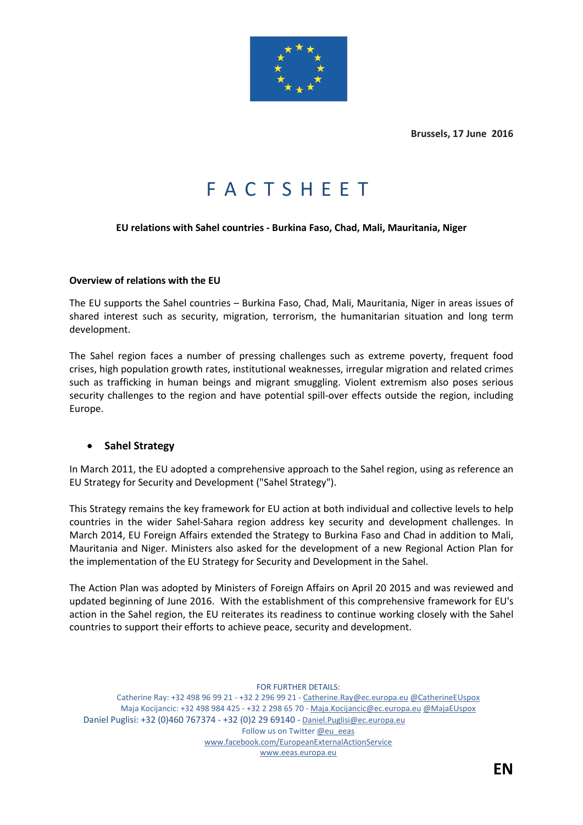

**Brussels, 17 June 2016**

# FACTSHEET

#### **EU relations with Sahel countries - Burkina Faso, Chad, Mali, Mauritania, Niger**

#### **Overview of relations with the EU**

The EU supports the Sahel countries – Burkina Faso, Chad, Mali, Mauritania, Niger in areas issues of shared interest such as security, migration, terrorism, the humanitarian situation and long term development.

The Sahel region faces a number of pressing challenges such as extreme poverty, frequent food crises, high population growth rates, institutional weaknesses, irregular migration and related crimes such as trafficking in human beings and migrant smuggling. Violent extremism also poses serious security challenges to the region and have potential spill-over effects outside the region, including Europe.

#### • **Sahel Strategy**

In March 2011, the EU adopted a comprehensive approach to the Sahel region, using as reference an EU Strategy for Security and Development ("Sahel Strategy").

This Strategy remains the key framework for EU action at both individual and collective levels to help countries in the wider Sahel-Sahara region address key security and development challenges. In March 2014, EU Foreign Affairs extended the Strategy to Burkina Faso and Chad in addition to Mali, Mauritania and Niger. Ministers also asked for the development of a new Regional Action Plan for the implementation of the EU Strategy for Security and Development in the Sahel.

The Action Plan was adopted by Ministers of Foreign Affairs on April 20 2015 and was reviewed and updated beginning of June 2016. With the establishment of this comprehensive framework for EU's action in the Sahel region, the EU reiterates its readiness to continue working closely with the Sahel countries to support their efforts to achieve peace, security and development.

FOR FURTHER DETAILS: Catherine Ray: +32 498 96 99 21 - +32 2 296 99 21 - [Catherine.Ray@ec.europa.eu](mailto:Catherine.Ray@ec.europa.eu) [@CatherineEUspox](https://twitter.com/CatherineEUspox) Maja Kocijancic: +32 498 984 425 - +32 2 298 65 70 - Maja.Kocijancic@ec.europa.eu [@MajaEUspox](https://twitter.com/MajaEUspox) Daniel Puglisi: +32 (0)460 767374 - +32 (0)2 29 69140 - [Daniel.Puglisi@ec.europa.eu](mailto:Daniel.Puglisi@ec.europa.eu) Follow us on Twitter [@eu\\_eeas](https://twitter.com/eu_eeas) [www.facebook.com/EuropeanExternalActionService](http://www.facebook.com/EuropeanExternalActionService) www.eeas.europa.eu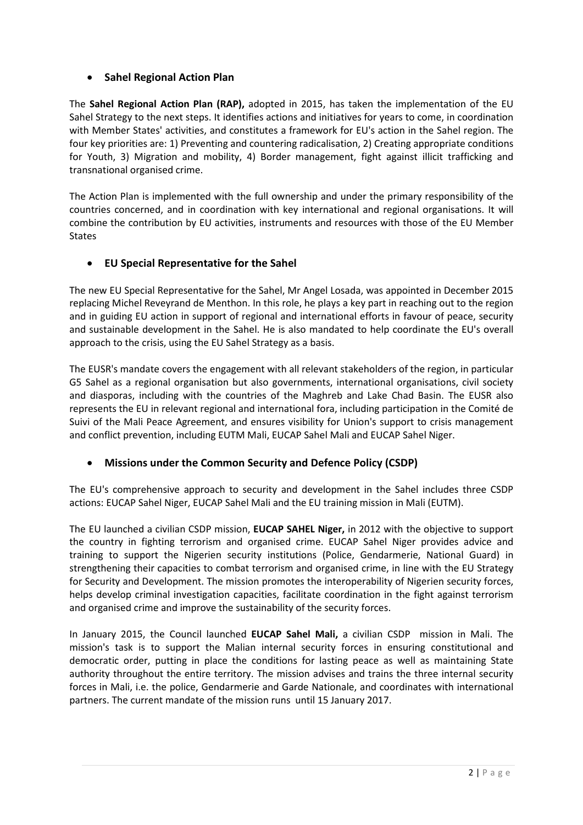# • **Sahel Regional Action Plan**

The **Sahel Regional Action Plan (RAP),** adopted in 2015, has taken the implementation of the EU Sahel Strategy to the next steps. It identifies actions and initiatives for years to come, in coordination with Member States' activities, and constitutes a framework for EU's action in the Sahel region. The four key priorities are: 1) Preventing and countering radicalisation, 2) Creating appropriate conditions for Youth, 3) Migration and mobility, 4) Border management, fight against illicit trafficking and transnational organised crime.

The Action Plan is implemented with the full ownership and under the primary responsibility of the countries concerned, and in coordination with key international and regional organisations. It will combine the contribution by EU activities, instruments and resources with those of the EU Member States

# • **EU Special Representative for the Sahel**

The new EU Special Representative for the Sahel, Mr Angel Losada, was appointed in December 2015 replacing Michel Reveyrand de Menthon. In this role, he plays a key part in reaching out to the region and in guiding EU action in support of regional and international efforts in favour of peace, security and sustainable development in the Sahel. He is also mandated to help coordinate the EU's overall approach to the crisis, using the EU Sahel Strategy as a basis.

The EUSR's mandate covers the engagement with all relevant stakeholders of the region, in particular G5 Sahel as a regional organisation but also governments, international organisations, civil society and diasporas, including with the countries of the Maghreb and Lake Chad Basin. The EUSR also represents the EU in relevant regional and international fora, including participation in the Comité de Suivi of the Mali Peace Agreement, and ensures visibility for Union's support to crisis management and conflict prevention, including EUTM Mali, EUCAP Sahel Mali and EUCAP Sahel Niger.

# • **Missions under the Common Security and Defence Policy (CSDP)**

The EU's comprehensive approach to security and development in the Sahel includes three CSDP actions: EUCAP Sahel Niger, EUCAP Sahel Mali and the EU training mission in Mali (EUTM).

The EU launched a civilian CSDP mission, **EUCAP SAHEL Niger,** in 2012 with the objective to support the country in fighting terrorism and organised crime. EUCAP Sahel Niger provides advice and training to support the Nigerien security institutions (Police, Gendarmerie, National Guard) in strengthening their capacities to combat terrorism and organised crime, in line with the EU Strategy for Security and Development. The mission promotes the interoperability of Nigerien security forces, helps develop criminal investigation capacities, facilitate coordination in the fight against terrorism and organised crime and improve the sustainability of the security forces.

In January 2015, the Council launched **EUCAP Sahel Mali,** a civilian CSDP mission in Mali. The mission's task is to support the Malian internal security forces in ensuring constitutional and democratic order, putting in place the conditions for lasting peace as well as maintaining State authority throughout the entire territory. The mission advises and trains the three internal security forces in Mali, i.e. the police, Gendarmerie and Garde Nationale, and coordinates with international partners. The current mandate of the mission runs until 15 January 2017.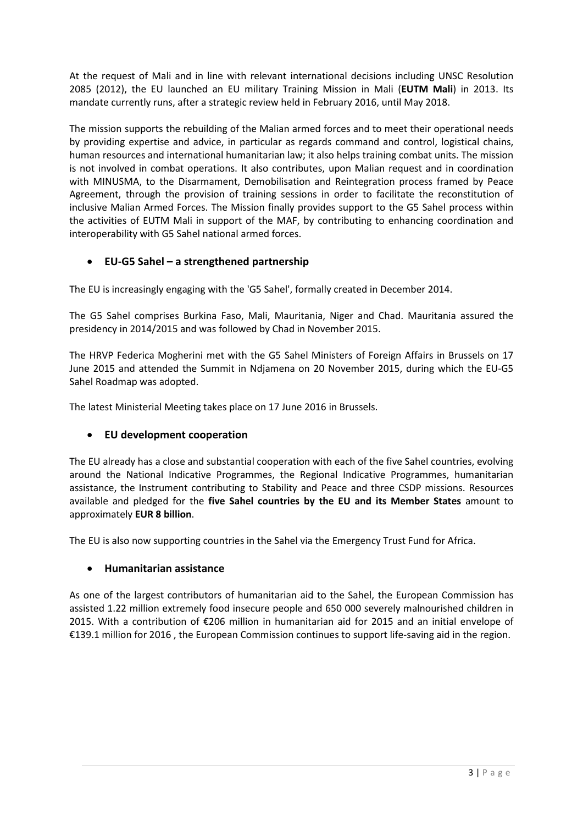At the request of Mali and in line with relevant international decisions including UNSC Resolution 2085 (2012), the EU launched an EU military Training Mission in Mali (**EUTM Mali**) in 2013. Its mandate currently runs, after a strategic review held in February 2016, until May 2018.

The mission supports the rebuilding of the Malian armed forces and to meet their operational needs by providing expertise and advice, in particular as regards command and control, logistical chains, human resources and international humanitarian law; it also helps training combat units. The mission is not involved in combat operations. It also contributes, upon Malian request and in coordination with MINUSMA, to the Disarmament, Demobilisation and Reintegration process framed by Peace Agreement, through the provision of training sessions in order to facilitate the reconstitution of inclusive Malian Armed Forces. The Mission finally provides support to the G5 Sahel process within the activities of EUTM Mali in support of the MAF, by contributing to enhancing coordination and interoperability with G5 Sahel national armed forces.

# • **EU-G5 Sahel – a strengthened partnership**

The EU is increasingly engaging with the 'G5 Sahel', formally created in December 2014.

The G5 Sahel comprises Burkina Faso, Mali, Mauritania, Niger and Chad. Mauritania assured the presidency in 2014/2015 and was followed by Chad in November 2015.

The HRVP Federica Mogherini met with the G5 Sahel Ministers of Foreign Affairs in Brussels on 17 June 2015 and attended the Summit in Ndjamena on 20 November 2015, during which the EU-G5 Sahel Roadmap was adopted.

The latest Ministerial Meeting takes place on 17 June 2016 in Brussels.

## • **EU development cooperation**

The EU already has a close and substantial cooperation with each of the five Sahel countries, evolving around the National Indicative Programmes, the Regional Indicative Programmes, humanitarian assistance, the Instrument contributing to Stability and Peace and three CSDP missions. Resources available and pledged for the **five Sahel countries by the EU and its Member States** amount to approximately **EUR 8 billion**.

The EU is also now supporting countries in the Sahel via the Emergency Trust Fund for Africa.

## • **Humanitarian assistance**

As one of the largest contributors of humanitarian aid to the Sahel, the European Commission has assisted 1.22 million extremely food insecure people and 650 000 severely malnourished children in 2015. With a contribution of €206 million in humanitarian aid for 2015 and an initial envelope of €139.1 million for 2016 , the European Commission continues to support life-saving aid in the region.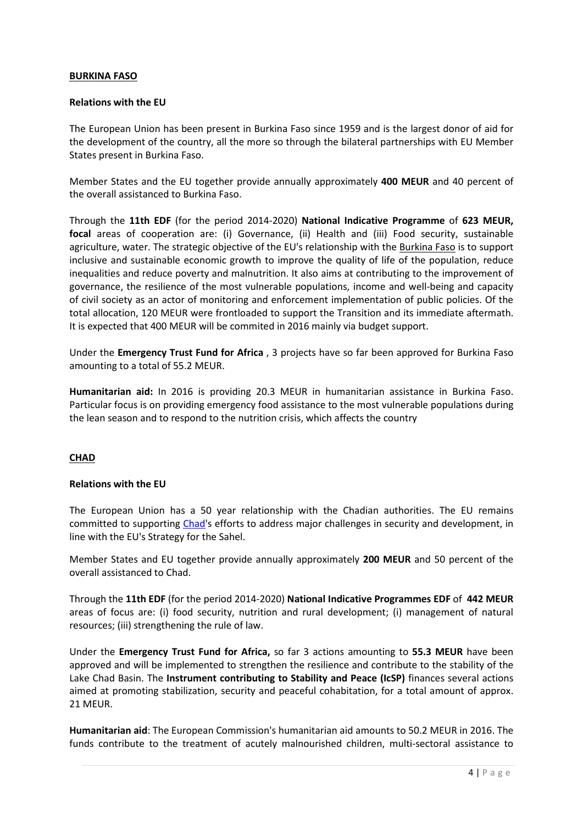#### **BURKINA FASO**

#### **Relations with the EU**

The European Union has been present in Burkina Faso since 1959 and is the largest donor of aid for the development of the country, all the more so through the bilateral partnerships with EU Member States present in Burkina Faso.

Member States and the EU together provide annually approximately **400 MEUR** and 40 percent of the overall assistanced to Burkina Faso.

Through the **11th EDF** (for the period 2014-2020) **National Indicative Programme** of **623 MEUR, focal** areas of cooperation are: (i) Governance, (ii) Health and (iii) Food security, sustainable agriculture, water. The strategic objective of the EU's relationship with the [Burkina Faso](http://eeas.europa.eu/burkina_faso/index_en.htm) is to support inclusive and sustainable economic growth to improve the quality of life of the population, reduce inequalities and reduce poverty and malnutrition. It also aims at contributing to the improvement of governance, the resilience of the most vulnerable populations, income and well-being and capacity of civil society as an actor of monitoring and enforcement implementation of public policies. Of the total allocation, 120 MEUR were frontloaded to support the Transition and its immediate aftermath. It is expected that 400 MEUR will be commited in 2016 mainly via budget support.

Under the **Emergency Trust Fund for Africa** , 3 projects have so far been approved for Burkina Faso amounting to a total of 55.2 MEUR.

**Humanitarian aid:** In 2016 is providing 20.3 MEUR in humanitarian assistance in Burkina Faso. Particular focus is on providing emergency food assistance to the most vulnerable populations during the lean season and to respond to the nutrition crisis, which affects the country

#### **CHAD**

#### **Relations with the EU**

The European Union has a 50 year relationship with the Chadian authorities. The EU remains committed to supporting [Chad'](http://eeas.europa.eu/chad/index_en.htm)s efforts to address major challenges in security and development, in line with the EU's Strategy for the Sahel.

Member States and EU together provide annually approximately **200 MEUR** and 50 percent of the overall assistanced to Chad.

Through the **11th EDF** (for the period 2014-2020) **National Indicative Programmes EDF** of **442 MEUR** areas of focus are: (i) food security, nutrition and rural development; (i) management of natural resources; (iii) strengthening the rule of law.

Under the **Emergency Trust Fund for Africa,** so far 3 actions amounting to **55.3 MEUR** have been approved and will be implemented to strengthen the resilience and contribute to the stability of the Lake Chad Basin. The **Instrument contributing to Stability and Peace (IcSP)** finances several actions aimed at promoting stabilization, security and peaceful cohabitation, for a total amount of approx. 21 MEUR.

**Humanitarian aid**: The European Commission's humanitarian aid amounts to 50.2 MEUR in 2016. The funds contribute to the treatment of acutely malnourished children, multi-sectoral assistance to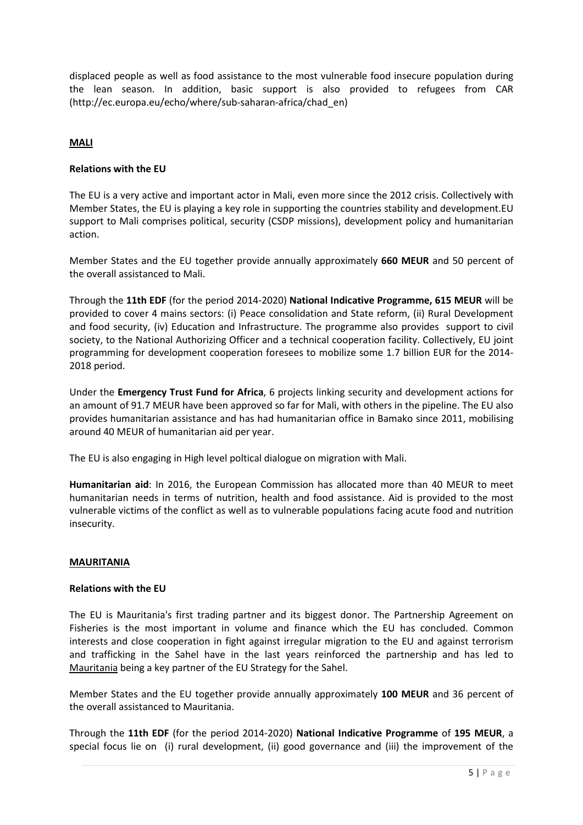displaced people as well as food assistance to the most vulnerable food insecure population during the lean season. In addition, basic support is also provided to refugees from CAR (http://ec.europa.eu/echo/where/sub-saharan-africa/chad\_en)

## **MALI**

#### **Relations with the EU**

The EU is a very active and important actor in Mali, even more since the 2012 crisis. Collectively with Member States, the EU is playing a key role in supporting the countries stability and development.EU support to Mali comprises political, security (CSDP missions), development policy and humanitarian action.

Member States and the EU together provide annually approximately **660 MEUR** and 50 percent of the overall assistanced to Mali.

Through the **11th EDF** (for the period 2014-2020) **National Indicative Programme, 615 MEUR** will be provided to cover 4 mains sectors: (i) Peace consolidation and State reform, (ii) Rural Development and food security, (iv) Education and Infrastructure. The programme also provides support to civil society, to the National Authorizing Officer and a technical cooperation facility. Collectively, EU joint programming for development cooperation foresees to mobilize some 1.7 billion EUR for the 2014- 2018 period.

Under the **Emergency Trust Fund for Africa**, 6 projects linking security and development actions for an amount of 91.7 MEUR have been approved so far for Mali, with others in the pipeline. The EU also provides humanitarian assistance and has had humanitarian office in Bamako since 2011, mobilising around 40 MEUR of humanitarian aid per year.

The EU is also engaging in High level poltical dialogue on migration with Mali.

**Humanitarian aid**: In 2016, the European Commission has allocated more than 40 MEUR to meet humanitarian needs in terms of nutrition, health and food assistance. Aid is provided to the most vulnerable victims of the conflict as well as to vulnerable populations facing acute food and nutrition insecurity.

#### **MAURITANIA**

#### **Relations with the EU**

The EU is Mauritania's first trading partner and its biggest donor. The Partnership Agreement on Fisheries is the most important in volume and finance which the EU has concluded. Common interests and close cooperation in fight against irregular migration to the EU and against terrorism and trafficking in the Sahel have in the last years reinforced the partnership and has led to [Mauritania](http://eeas.europa.eu/mauritania/index_en.htm) being a key partner of the EU Strategy for the Sahel.

Member States and the EU together provide annually approximately **100 MEUR** and 36 percent of the overall assistanced to Mauritania.

Through the **11th EDF** (for the period 2014-2020) **National Indicative Programme** of **195 MEUR**, a special focus lie on (i) rural development, (ii) good governance and (iii) the improvement of the